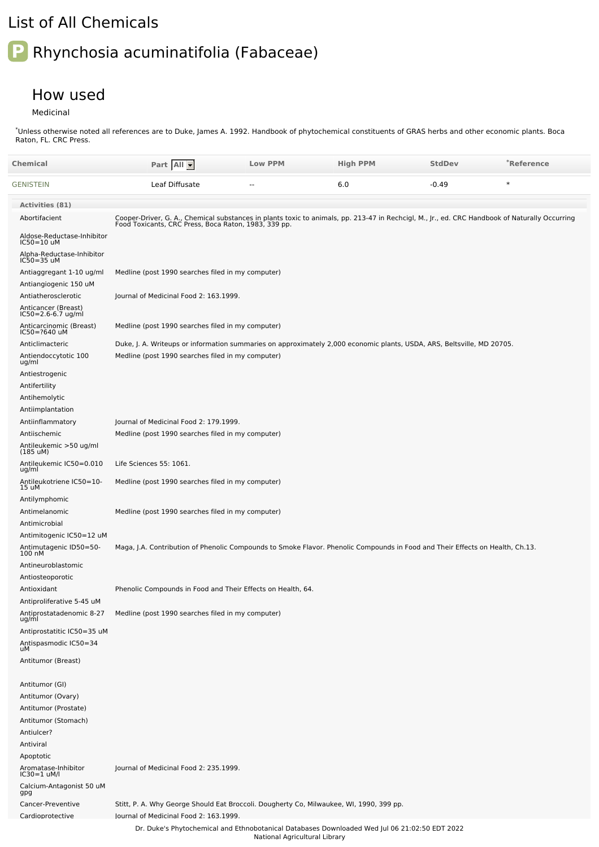## List of All Chemicals

## **P** Rhynchosia acuminatifolia (Fabaceae)

## How used

Medicinal

\*Unless otherwise noted all references are to Duke, James A. 1992. Handbook of phytochemical constituents of GRAS herbs and other economic plants. Boca Raton, FL. CRC Press.

| Chemical                                   | Part All                                                                                                                                                                                               | <b>Low PPM</b> | <b>High PPM</b>                                                                               | <b>StdDev</b> | *Reference |
|--------------------------------------------|--------------------------------------------------------------------------------------------------------------------------------------------------------------------------------------------------------|----------------|-----------------------------------------------------------------------------------------------|---------------|------------|
| GENISTEIN                                  | Leaf Diffusate                                                                                                                                                                                         | $\overline{a}$ | 6.0                                                                                           | $-0.49$       | $\ast$     |
| Activities (81)                            |                                                                                                                                                                                                        |                |                                                                                               |               |            |
| Abortifacient                              | Cooper-Driver, G. A., Chemical substances in plants toxic to animals, pp. 213-47 in Rechcigl, M., Jr., ed. CRC Handbook of Naturally Occurring<br>Food Toxicants, CRC Press, Boca Raton, 1983, 339 pp. |                |                                                                                               |               |            |
| Aldose-Reductase-Inhibitor<br>IC50=10 uM   |                                                                                                                                                                                                        |                |                                                                                               |               |            |
| Alpha-Reductase-Inhibitor<br>IC50=35 uM    |                                                                                                                                                                                                        |                |                                                                                               |               |            |
| Antiaggregant 1-10 ug/ml                   | Medline (post 1990 searches filed in my computer)                                                                                                                                                      |                |                                                                                               |               |            |
| Antiangiogenic 150 uM                      |                                                                                                                                                                                                        |                |                                                                                               |               |            |
| Antiatherosclerotic                        | Journal of Medicinal Food 2: 163.1999.                                                                                                                                                                 |                |                                                                                               |               |            |
| Anticancer (Breast)<br>IC50=2.6-6.7 ug/ml  |                                                                                                                                                                                                        |                |                                                                                               |               |            |
| Anticarcinomic (Breast)<br>IC50=?640 uM    | Medline (post 1990 searches filed in my computer)                                                                                                                                                      |                |                                                                                               |               |            |
| Anticlimacteric                            | Duke, J. A. Writeups or information summaries on approximately 2,000 economic plants, USDA, ARS, Beltsville, MD 20705.                                                                                 |                |                                                                                               |               |            |
| Antiendoccytotic 100<br>ug/ml              | Medline (post 1990 searches filed in my computer)                                                                                                                                                      |                |                                                                                               |               |            |
| Antiestrogenic                             |                                                                                                                                                                                                        |                |                                                                                               |               |            |
| Antifertility                              |                                                                                                                                                                                                        |                |                                                                                               |               |            |
| Antihemolytic                              |                                                                                                                                                                                                        |                |                                                                                               |               |            |
| Antiimplantation                           |                                                                                                                                                                                                        |                |                                                                                               |               |            |
| Antiinflammatory                           | Journal of Medicinal Food 2: 179.1999.                                                                                                                                                                 |                |                                                                                               |               |            |
| Antiischemic<br>Antileukemic >50 ug/ml     | Medline (post 1990 searches filed in my computer)                                                                                                                                                      |                |                                                                                               |               |            |
| (185 uM)<br>Antileukemic IC50=0.010        | Life Sciences 55: 1061.                                                                                                                                                                                |                |                                                                                               |               |            |
| ug/ml<br>Antileukotriene IC50=10-<br>15 uM | Medline (post 1990 searches filed in my computer)                                                                                                                                                      |                |                                                                                               |               |            |
| Antilymphomic                              |                                                                                                                                                                                                        |                |                                                                                               |               |            |
| Antimelanomic                              | Medline (post 1990 searches filed in my computer)                                                                                                                                                      |                |                                                                                               |               |            |
| Antimicrobial                              |                                                                                                                                                                                                        |                |                                                                                               |               |            |
| Antimitogenic IC50=12 uM                   |                                                                                                                                                                                                        |                |                                                                                               |               |            |
| Antimutagenic ID50=50-<br>100 nM           | Maga, J.A. Contribution of Phenolic Compounds to Smoke Flavor. Phenolic Compounds in Food and Their Effects on Health, Ch.13.                                                                          |                |                                                                                               |               |            |
| Antineuroblastomic<br>Antiosteoporotic     |                                                                                                                                                                                                        |                |                                                                                               |               |            |
| Antioxidant                                | Phenolic Compounds in Food and Their Effects on Health, 64.                                                                                                                                            |                |                                                                                               |               |            |
| Antiproliferative 5-45 uM                  |                                                                                                                                                                                                        |                |                                                                                               |               |            |
| Antiprostatadenomic 8-27<br>ug/ml          | Medline (post 1990 searches filed in my computer)                                                                                                                                                      |                |                                                                                               |               |            |
| Antiprostatitic IC50=35 uM                 |                                                                                                                                                                                                        |                |                                                                                               |               |            |
| Antispasmodic IC50=34<br>uM                |                                                                                                                                                                                                        |                |                                                                                               |               |            |
| Antitumor (Breast)                         |                                                                                                                                                                                                        |                |                                                                                               |               |            |
| Antitumor (GI)                             |                                                                                                                                                                                                        |                |                                                                                               |               |            |
| Antitumor (Ovary)                          |                                                                                                                                                                                                        |                |                                                                                               |               |            |
| Antitumor (Prostate)                       |                                                                                                                                                                                                        |                |                                                                                               |               |            |
| Antitumor (Stomach)                        |                                                                                                                                                                                                        |                |                                                                                               |               |            |
| Antiulcer?                                 |                                                                                                                                                                                                        |                |                                                                                               |               |            |
| Antiviral                                  |                                                                                                                                                                                                        |                |                                                                                               |               |            |
| Apoptotic                                  |                                                                                                                                                                                                        |                |                                                                                               |               |            |
| Aromatase-Inhibitor<br>IC30=1 uM/l         | Journal of Medicinal Food 2: 235.1999.                                                                                                                                                                 |                |                                                                                               |               |            |
| Calcium-Antagonist 50 uM<br>gpg            |                                                                                                                                                                                                        |                |                                                                                               |               |            |
| Cancer-Preventive                          | Stitt, P. A. Why George Should Eat Broccoli. Dougherty Co, Milwaukee, WI, 1990, 399 pp.                                                                                                                |                |                                                                                               |               |            |
| Cardioprotective                           | lournal of Medicinal Food 2: 163.1999.                                                                                                                                                                 |                |                                                                                               |               |            |
|                                            |                                                                                                                                                                                                        |                | Dr. Duke's Phytochemical and Ethnobotanical Databases Downloaded Wed Jul 06 21:02:50 EDT 2022 |               |            |

National Agricultural Library